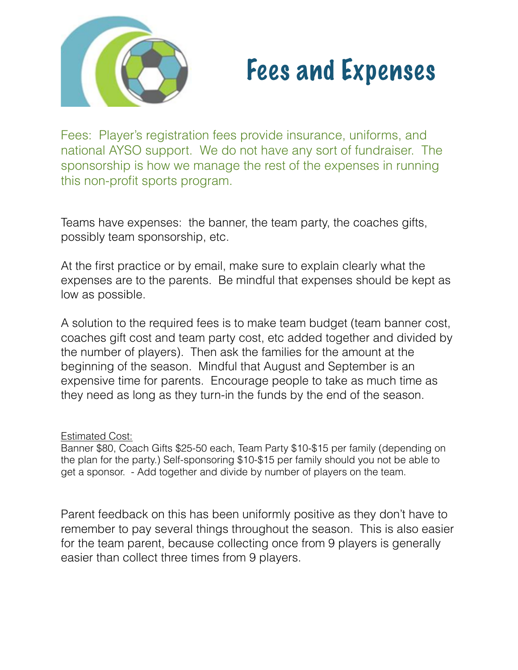

## Fees and Expenses

Fees: Player's registration fees provide insurance, uniforms, and national AYSO support. We do not have any sort of fundraiser. The sponsorship is how we manage the rest of the expenses in running this non-profit sports program.

Teams have expenses: the banner, the team party, the coaches gifts, possibly team sponsorship, etc.

At the first practice or by email, make sure to explain clearly what the expenses are to the parents. Be mindful that expenses should be kept as low as possible.

A solution to the required fees is to make team budget (team banner cost, coaches gift cost and team party cost, etc added together and divided by the number of players). Then ask the families for the amount at the beginning of the season. Mindful that August and September is an expensive time for parents. Encourage people to take as much time as they need as long as they turn-in the funds by the end of the season.

## Estimated Cost:

Banner \$80, Coach Gifts \$25-50 each, Team Party \$10-\$15 per family (depending on the plan for the party.) Self-sponsoring \$10-\$15 per family should you not be able to get a sponsor. - Add together and divide by number of players on the team.

Parent feedback on this has been uniformly positive as they don't have to remember to pay several things throughout the season. This is also easier for the team parent, because collecting once from 9 players is generally easier than collect three times from 9 players.